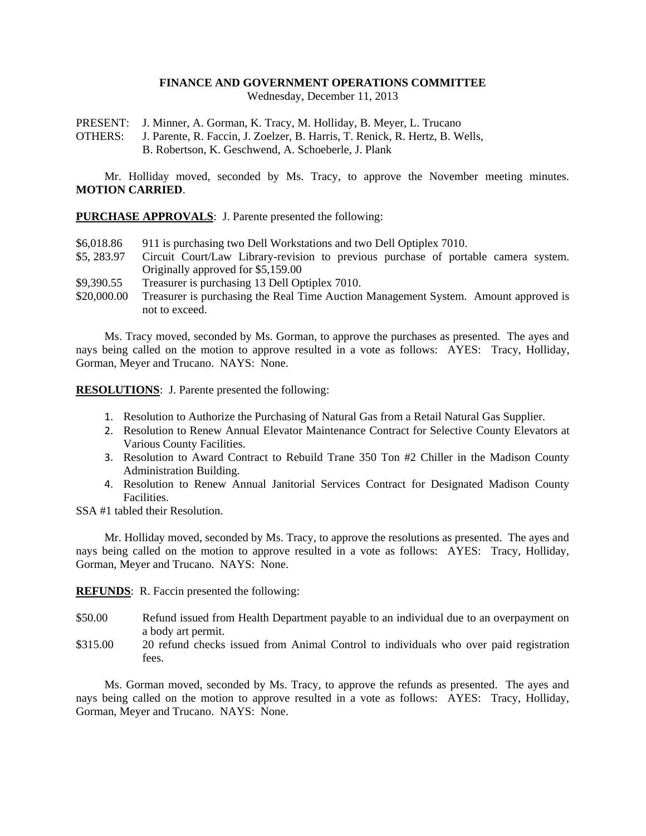## **FINANCE AND GOVERNMENT OPERATIONS COMMITTEE**

Wednesday, December 11, 2013

PRESENT: J. Minner, A. Gorman, K. Tracy, M. Holliday, B. Meyer, L. Trucano

OTHERS: J. Parente, R. Faccin, J. Zoelzer, B. Harris, T. Renick, R. Hertz, B. Wells, B. Robertson, K. Geschwend, A. Schoeberle, J. Plank

Mr. Holliday moved, seconded by Ms. Tracy, to approve the November meeting minutes. **MOTION CARRIED**.

**PURCHASE APPROVALS**: J. Parente presented the following:

- \$6,018.86 911 is purchasing two Dell Workstations and two Dell Optiplex 7010.
- \$5, 283.97 Circuit Court/Law Library-revision to previous purchase of portable camera system. Originally approved for \$5,159.00
- \$9,390.55 Treasurer is purchasing 13 Dell Optiplex 7010.
- \$20,000.00 Treasurer is purchasing the Real Time Auction Management System. Amount approved is not to exceed.

Ms. Tracy moved, seconded by Ms. Gorman, to approve the purchases as presented. The ayes and nays being called on the motion to approve resulted in a vote as follows: AYES: Tracy, Holliday, Gorman, Meyer and Trucano. NAYS: None.

**RESOLUTIONS**: J. Parente presented the following:

- 1. Resolution to Authorize the Purchasing of Natural Gas from a Retail Natural Gas Supplier.
- 2. Resolution to Renew Annual Elevator Maintenance Contract for Selective County Elevators at Various County Facilities.
- 3. Resolution to Award Contract to Rebuild Trane 350 Ton #2 Chiller in the Madison County Administration Building.
- 4. Resolution to Renew Annual Janitorial Services Contract for Designated Madison County **Facilities**

SSA #1 tabled their Resolution.

Mr. Holliday moved, seconded by Ms. Tracy, to approve the resolutions as presented. The ayes and nays being called on the motion to approve resulted in a vote as follows: AYES: Tracy, Holliday, Gorman, Meyer and Trucano. NAYS: None.

**REFUNDS**: R. Faccin presented the following:

- \$50.00 Refund issued from Health Department payable to an individual due to an overpayment on a body art permit.
- \$315.00 20 refund checks issued from Animal Control to individuals who over paid registration fees.

Ms. Gorman moved, seconded by Ms. Tracy, to approve the refunds as presented. The ayes and nays being called on the motion to approve resulted in a vote as follows: AYES: Tracy, Holliday, Gorman, Meyer and Trucano. NAYS: None.